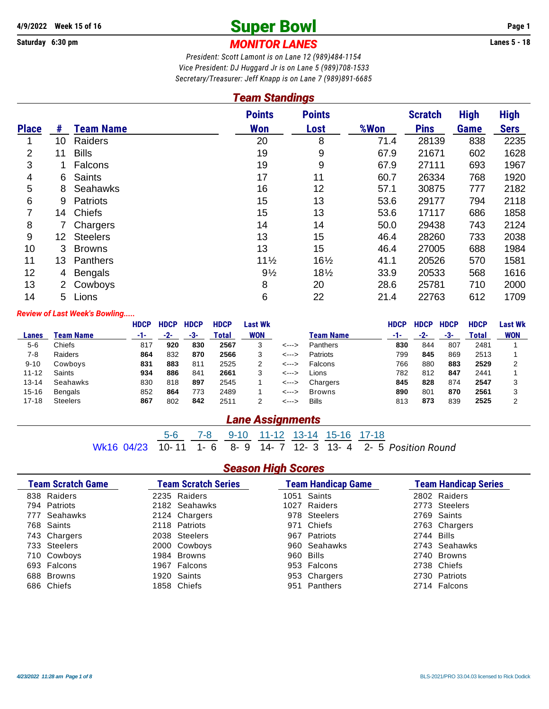## **Super Bowl 4/9/2022 Week 15 of 16 Page 1**

**Saturday 6:30 pm** *MONITOR LANES* **Lanes 5 - 18**

*President: Scott Lamont is on Lane 12 (989)484-1154 Vice President: DJ Huggard Jr is on Lane 5 (989)708-1533 Secretary/Treasurer: Jeff Knapp is on Lane 7 (989)891-6685*

| <b>Team Standings</b> |                 |                  |                      |                       |      |                               |                     |                            |  |  |  |
|-----------------------|-----------------|------------------|----------------------|-----------------------|------|-------------------------------|---------------------|----------------------------|--|--|--|
| <b>Place</b>          | #               | <b>Team Name</b> | <b>Points</b><br>Won | <b>Points</b><br>Lost | %Won | <b>Scratch</b><br><b>Pins</b> | <b>High</b><br>Game | <b>High</b><br><b>Sers</b> |  |  |  |
| 1                     | 10 <sup>°</sup> | Raiders          | 20                   | 8                     | 71.4 | 28139                         | 838                 | 2235                       |  |  |  |
| $\overline{2}$        | 11              | <b>Bills</b>     | 19                   | 9                     | 67.9 | 21671                         | 602                 | 1628                       |  |  |  |
| 3                     |                 | Falcons          | 19                   | 9                     | 67.9 | 27111                         | 693                 | 1967                       |  |  |  |
| 4                     | 6               | <b>Saints</b>    | 17                   | 11                    | 60.7 | 26334                         | 768                 | 1920                       |  |  |  |
| 5                     | 8               | <b>Seahawks</b>  | 16                   | 12                    | 57.1 | 30875                         | 777                 | 2182                       |  |  |  |
| 6                     | 9               | <b>Patriots</b>  | 15                   | 13                    | 53.6 | 29177                         | 794                 | 2118                       |  |  |  |
| 7                     | 14              | <b>Chiefs</b>    | 15                   | 13                    | 53.6 | 17117                         | 686                 | 1858                       |  |  |  |
| 8                     |                 | Chargers         | 14                   | 14                    | 50.0 | 29438                         | 743                 | 2124                       |  |  |  |
| 9                     | 12              | <b>Steelers</b>  | 13                   | 15                    | 46.4 | 28260                         | 733                 | 2038                       |  |  |  |
| 10                    | 3               | <b>Browns</b>    | 13                   | 15                    | 46.4 | 27005                         | 688                 | 1984                       |  |  |  |
| 11                    | 13              | Panthers         | $11\frac{1}{2}$      | $16\frac{1}{2}$       | 41.1 | 20526                         | 570                 | 1581                       |  |  |  |
| 12                    | 4               | <b>Bengals</b>   | $9\frac{1}{2}$       | $18\frac{1}{2}$       | 33.9 | 20533                         | 568                 | 1616                       |  |  |  |
| 13                    | $\mathbf{2}^-$  | Cowboys          | 8                    | 20                    | 28.6 | 25781                         | 710                 | 2000                       |  |  |  |
| 14                    | 5               | Lions            | 6                    | 22                    | 21.4 | 22763                         | 612                 | 1709                       |  |  |  |

#### *Review of Last Week's Bowling.....*

|           |                  | <b>HDCP</b> | <b>HDCP</b> | <b>HDCP</b> | <b>HDCP</b> | Last Wk    |       |                  | <b>HDCP</b> | <b>HDCP</b> | <b>HDCP</b> | <b>HDCP</b> | Last Wk    |
|-----------|------------------|-------------|-------------|-------------|-------------|------------|-------|------------------|-------------|-------------|-------------|-------------|------------|
| Lanes     | <b>Team Name</b> | -1-         | -2-         | -3-         | Total       | <b>WON</b> |       | <b>Team Name</b> | -1-         | -2-         | -3-         | Total       | <b>WON</b> |
| $5 - 6$   | Chiefs           | 817         | 920         | 830         | 2567        | 3          | <---> | Panthers         | 830         | 844         | 807         | 2481        |            |
| 7-8       | Raiders          | 864         | 832         | 870         | 2566        | 3          | <---> | Patriots         | 799         | 845         | 869         | 2513        |            |
| $9 - 10$  | Cowboys          | 831         | 883         | 811         | 2525        | 2          | <---> | Falcons          | 766         | 880         | 883         | 2529        | າ          |
| $11 - 12$ | Saints           | 934         | 886         | 841         | 2661        | 3          | <---> | Lions            | 782         | 812         | 847         | 2441        |            |
| $13 - 14$ | Seahawks         | 830         | 818         | 897         | 2545        |            | <---> | Chargers         | 845         | 828         | 874         | 2547        | 3          |
| $15 - 16$ | <b>Bengals</b>   | 852         | 864         | 773         | 2489        |            | <---> | <b>Browns</b>    | 890         | 801         | 870         | 2561        | 3          |
| $17 - 18$ | <b>Steelers</b>  | 867         | 802         | 842         | 2511        | っ          | <---> | <b>Bills</b>     | 813         | 873         | 839         | 2525        | ົ          |

#### *Lane Assignments*

Wk16 04/23 10-11 1-6 8-9 11-12 13-14 15-16 17-18 8- 9 14- 7 12- 3 13- 4 2- 5 Position Round

#### *Season High Scores*

| <b>Team Scratch Game</b> | <b>Team Scratch Series</b> | <b>Team Handicap Game</b> |            | <b>Team Handicap Series</b> |
|--------------------------|----------------------------|---------------------------|------------|-----------------------------|
| 838 Raiders              | 2235 Raiders               | 1051 Saints               |            | 2802 Raiders                |
| 794 Patriots             | 2182 Seahawks              | 1027 Raiders              |            | 2773 Steelers               |
| 777 Seahawks             | 2124 Chargers              | 978 Steelers              |            | 2769 Saints                 |
| 768 Saints               | 2118 Patriots              | 971 Chiefs                |            | 2763 Chargers               |
| 743 Chargers             | 2038 Steelers              | 967 Patriots              | 2744 Bills |                             |
| 733 Steelers             | 2000 Cowboys               | 960 Seahawks              |            | 2743 Seahawks               |
| 710 Cowboys              | 1984 Browns                | 960 Bills                 |            | 2740 Browns                 |
| 693 Falcons              | 1967 Falcons               | 953 Falcons               |            | 2738 Chiefs                 |
| 688 Browns               | 1920 Saints                | 953 Chargers              |            | 2730 Patriots               |
| 686 Chiefs               | 1858 Chiefs                | 951 Panthers              |            | 2714 Falcons                |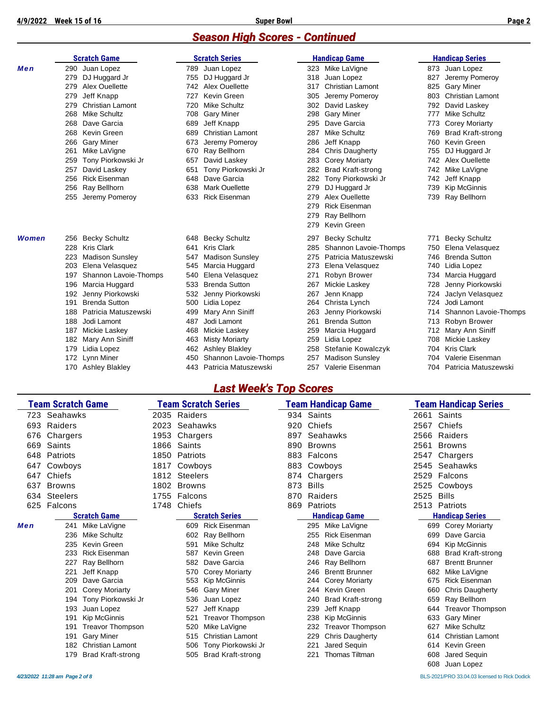#### *Season High Scores - Continued*

|       |     | <b>Scratch Game</b>     |     | <b>Scratch Series</b>   |     | <b>Handicap Game</b>     |      | <b>Handicap Series</b>   |
|-------|-----|-------------------------|-----|-------------------------|-----|--------------------------|------|--------------------------|
| Men   |     | 290 Juan Lopez          |     | 789 Juan Lopez          |     | 323 Mike LaVigne         |      | 873 Juan Lopez           |
|       | 279 | DJ Huggard Jr           | 755 | DJ Huggard Jr           | 318 | Juan Lopez               | 827  | Jeremy Pomeroy           |
|       | 279 | Alex Ouellette          | 742 | Alex Ouellette          | 317 | <b>Christian Lamont</b>  | 825  | <b>Gary Miner</b>        |
|       | 279 | Jeff Knapp              | 727 | Kevin Green             | 305 | Jeremy Pomeroy           | 803  | <b>Christian Lamont</b>  |
|       | 279 | <b>Christian Lamont</b> | 720 | Mike Schultz            | 302 | David Laskey             | 792  | David Laskey             |
|       | 268 | <b>Mike Schultz</b>     | 708 | <b>Gary Miner</b>       | 298 | <b>Gary Miner</b>        | 777  | <b>Mike Schultz</b>      |
|       | 268 | Dave Garcia             | 689 | Jeff Knapp              | 295 | Dave Garcia              | 773  | <b>Corey Moriarty</b>    |
|       | 268 | Kevin Green             | 689 | <b>Christian Lamont</b> | 287 | <b>Mike Schultz</b>      | 769  | <b>Brad Kraft-strong</b> |
|       | 266 | <b>Gary Miner</b>       | 673 | Jeremy Pomeroy          | 286 | Jeff Knapp               | 760. | Kevin Green              |
|       | 261 | Mike LaVigne            | 670 | Ray Bellhorn            | 284 | <b>Chris Daugherty</b>   | 755  | DJ Huggard Jr            |
|       | 259 | Tony Piorkowski Jr      | 657 | David Laskey            | 283 | <b>Corey Moriarty</b>    |      | 742 Alex Ouellette       |
|       | 257 | David Laskey            | 651 | Tony Piorkowski Jr      | 282 | <b>Brad Kraft-strong</b> |      | 742 Mike LaVigne         |
|       | 256 | <b>Rick Eisenman</b>    | 648 | Dave Garcia             | 282 | Tony Piorkowski Jr       |      | 742 Jeff Knapp           |
|       | 256 | Ray Bellhorn            | 638 | <b>Mark Ouellette</b>   | 279 | DJ Huggard Jr            | 739  | <b>Kip McGinnis</b>      |
|       | 255 | Jeremy Pomeroy          | 633 | <b>Rick Eisenman</b>    | 279 | Alex Ouellette           |      | 739 Ray Bellhorn         |
|       |     |                         |     |                         | 279 | <b>Rick Eisenman</b>     |      |                          |
|       |     |                         |     |                         | 279 | Ray Bellhorn             |      |                          |
|       |     |                         |     |                         | 279 | Kevin Green              |      |                          |
| Women | 256 | <b>Becky Schultz</b>    | 648 | <b>Becky Schultz</b>    | 297 | <b>Becky Schultz</b>     | 771  | <b>Becky Schultz</b>     |
|       | 228 | <b>Kris Clark</b>       | 641 | <b>Kris Clark</b>       | 285 | Shannon Lavoie-Thomps    | 750  | Elena Velasquez          |
|       | 223 | <b>Madison Sunsley</b>  | 547 | <b>Madison Sunsley</b>  | 275 | Patricia Matuszewski     | 746  | <b>Brenda Sutton</b>     |
|       | 203 | Elena Velasquez         | 545 | Marcia Huggard          | 273 | Elena Velasquez          | 740  | Lidia Lopez              |
|       | 197 | Shannon Lavoie-Thomps   | 540 | Elena Velasquez         | 271 | Robyn Brower             | 734  | Marcia Huggard           |
|       | 196 | Marcia Huggard          | 533 | <b>Brenda Sutton</b>    | 267 | Mickie Laskey            | 728  | Jenny Piorkowski         |
|       | 192 | Jenny Piorkowski        | 532 | Jenny Piorkowski        | 267 | Jenn Knapp               | 724  | Jaclyn Velasquez         |
|       | 191 | <b>Brenda Sutton</b>    | 500 | Lidia Lopez             | 264 | Christa Lynch            | 724. | Jodi Lamont              |
|       | 188 | Patricia Matuszewski    | 499 | Mary Ann Siniff         | 263 | Jenny Piorkowski         | 714  | Shannon Lavoie-Thomps    |
|       | 188 | Jodi Lamont             | 487 | Jodi Lamont             | 261 | <b>Brenda Sutton</b>     | 713  | Robyn Brower             |
|       | 187 | Mickie Laskey           | 468 | Mickie Laskey           | 259 | Marcia Huggard           | 712  | Mary Ann Siniff          |
|       | 182 | Mary Ann Siniff         | 463 | <b>Misty Moriarty</b>   | 259 | Lidia Lopez              | 708  | Mickie Laskey            |
|       | 179 | Lidia Lopez             | 462 | <b>Ashley Blakley</b>   | 258 | Stefanie Kowalczyk       | 704  | <b>Kris Clark</b>        |
|       | 172 | Lynn Miner              | 450 | Shannon Lavoie-Thomps   | 257 | <b>Madison Sunsley</b>   | 704  | Valerie Eisenman         |
|       |     | 170 Ashley Blakley      | 443 | Patricia Matuszewski    | 257 | Valerie Eisenman         |      | 704 Patricia Matuszewski |

#### *Last Week's Top Scores*

|     | <b>Team Scratch Game</b> |                          |      |                 | <b>Team Scratch Series</b> |     |               | Team Handicap Game       |      | Team Handicap Series            |
|-----|--------------------------|--------------------------|------|-----------------|----------------------------|-----|---------------|--------------------------|------|---------------------------------|
| 723 | Seahawks                 |                          |      | 2035 Raiders    |                            | 934 | Saints        |                          | 2661 | Saints                          |
| 693 | Raiders                  |                          | 2023 | Seahawks        |                            | 920 | Chiefs        |                          | 2567 | Chiefs                          |
| 676 | Chargers                 |                          | 1953 | Chargers        |                            | 897 |               | Seahawks                 | 2566 | Raiders                         |
| 669 | Saints                   |                          | 1866 | Saints          |                            | 890 | <b>Browns</b> |                          | 2561 | <b>Browns</b>                   |
| 648 | Patriots                 |                          | 1850 | Patriots        |                            | 883 | Falcons       |                          | 2547 | Chargers                        |
| 647 | Cowboys                  |                          | 1817 | Cowboys         |                            | 883 |               | Cowboys                  | 2545 | Seahawks                        |
| 647 | Chiefs                   |                          | 1812 | <b>Steelers</b> |                            | 874 |               | Chargers                 | 2529 | Falcons                         |
| 637 | <b>Browns</b>            |                          | 1802 | <b>Browns</b>   |                            | 873 | <b>Bills</b>  |                          | 2525 | Cowboys                         |
| 634 | <b>Steelers</b>          |                          | 1755 | Falcons         |                            | 870 |               | Raiders                  | 2525 | <b>Bills</b>                    |
| 625 | Falcons                  |                          | 1748 | Chiefs          |                            | 869 | Patriots      |                          | 2513 | Patriots                        |
|     |                          | <b>Scratch Game</b>      |      |                 | <b>Scratch Series</b>      |     |               | <b>Handicap Game</b>     |      | <b>Handicap Series</b>          |
| Men | 241                      | Mike LaVigne             |      |                 | 609 Rick Eisenman          |     |               | 295 Mike LaVigne         |      | 699<br><b>Corey Moriarty</b>    |
|     | 236                      | <b>Mike Schultz</b>      |      | 602             | Ray Bellhorn               |     | 255           | <b>Rick Eisenman</b>     |      | 699<br>Dave Garcia              |
|     | 235                      | Kevin Green              |      | 591             | <b>Mike Schultz</b>        |     | 248           | <b>Mike Schultz</b>      |      | Kip McGinnis<br>694             |
|     | 233                      | <b>Rick Eisenman</b>     |      | 587             | Kevin Green                |     | 248           | Dave Garcia              |      | 688<br><b>Brad Kraft-strong</b> |
|     | 227                      | Ray Bellhorn             |      | 582             | Dave Garcia                |     |               | 246 Ray Bellhorn         | 687  | <b>Brentt Brunner</b>           |
|     | 221                      | Jeff Knapp               |      | 570             | <b>Corey Moriarty</b>      |     | 246           | <b>Brentt Brunner</b>    |      | Mike LaVigne<br>682             |
|     | 209                      | Dave Garcia              |      | 553             | Kip McGinnis               |     | 244           | <b>Corey Moriarty</b>    |      | <b>Rick Eisenman</b><br>675     |
|     | 201                      | <b>Corey Moriarty</b>    |      | 546             | <b>Gary Miner</b>          |     | 244           | Kevin Green              |      | <b>Chris Daugherty</b><br>660   |
|     | 194                      | Tony Piorkowski Jr       |      | 536             | Juan Lopez                 |     | 240           | <b>Brad Kraft-strong</b> |      | Ray Bellhorn<br>659             |
|     | 193                      | Juan Lopez               |      | 527             | Jeff Knapp                 |     | 239           | Jeff Knapp               |      | <b>Treavor Thompson</b><br>644  |
|     | 191                      | Kip McGinnis             |      | 521             | <b>Treavor Thompson</b>    |     | 238           | Kip McGinnis             |      | 633<br><b>Gary Miner</b>        |
|     | 191                      | <b>Treavor Thompson</b>  |      | 520             | Mike LaVigne               |     | 232           | <b>Treavor Thompson</b>  | 627  | Mike Schultz                    |
|     | 191                      | <b>Gary Miner</b>        |      | 515             | <b>Christian Lamont</b>    |     | 229           | <b>Chris Daugherty</b>   |      | <b>Christian Lamont</b><br>614  |
|     | 182                      | <b>Christian Lamont</b>  |      | 506             | Tony Piorkowski Jr         |     | 221           | Jared Sequin             |      | 614<br>Kevin Green              |
|     | 179                      | <b>Brad Kraft-strong</b> |      | 505             | <b>Brad Kraft-strong</b>   |     | 221           | <b>Thomas Tiltman</b>    |      | Jared Sequin<br>608             |
|     |                          |                          |      |                 |                            |     |               |                          |      | 608<br>Juan Lopez               |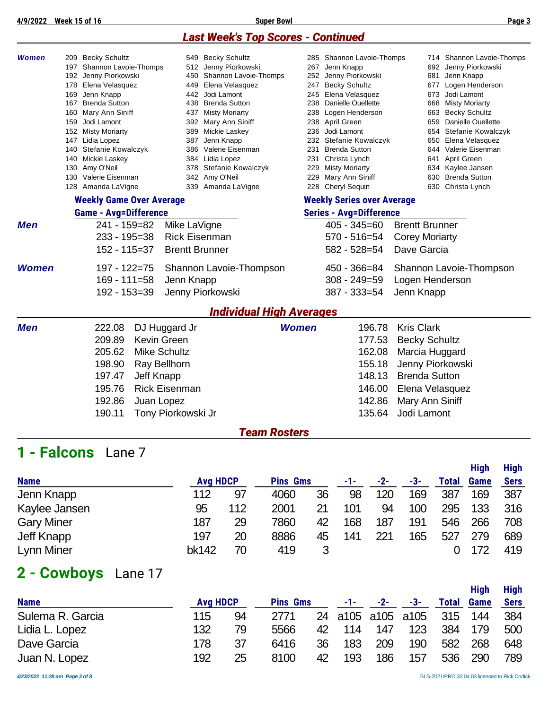#### *Last Week's Top Scores - Continued*

| Women        | 209 Becky Schultz                         | 549 Becky Schultz                      |                     | 285 Shannon Lavoie-Thomps                   | 714 Shannon Lavoie-Thomps                   |
|--------------|-------------------------------------------|----------------------------------------|---------------------|---------------------------------------------|---------------------------------------------|
|              | 197 Shannon Lavoie-Thomps                 | 512 Jenny Piorkowski                   |                     | 267 Jenn Knapp                              | 692 Jenny Piorkowski                        |
|              | 192 Jenny Piorkowski                      | 450 Shannon Lavoie-Thomps              |                     | 252 Jenny Piorkowski                        | 681 Jenn Knapp                              |
|              | 178 Elena Velasquez                       | 449 Elena Velasquez                    | 247                 | <b>Becky Schultz</b>                        | 677 Logen Henderson                         |
|              | 169 Jenn Knapp                            | 442 Jodi Lamont                        |                     | 245 Elena Velasquez                         | Jodi Lamont<br>673                          |
|              | 167 Brenda Sutton                         | 438 Brenda Sutton                      |                     | 238 Danielle Ouellette                      | Misty Moriarty<br>668                       |
|              | 160 Mary Ann Siniff                       | 437 Misty Moriarty                     |                     | 238 Logen Henderson                         | 663 Becky Schultz                           |
|              | 159 Jodi Lamont                           | 392 Mary Ann Siniff                    |                     | 238 April Green                             | Danielle Ouellette<br>659                   |
|              | 152 Misty Moriarty                        | 389 Mickie Laskey                      |                     | 236 Jodi Lamont                             | 654 Stefanie Kowalczyk                      |
|              | 147 Lidia Lopez<br>140 Stefanie Kowalczyk | 387 Jenn Knapp<br>386 Valerie Eisenman |                     | 232 Stefanie Kowalczyk<br>231 Brenda Sutton | 650 Elena Velasquez<br>644 Valerie Eisenman |
|              | 140 Mickie Laskey                         | 384 Lidia Lopez                        |                     | 231 Christa Lynch                           | April Green<br>641                          |
|              | 130 Amy O'Neil                            | 378 Stefanie Kowalczyk                 |                     | 229 Misty Moriarty                          | 634 Kaylee Jansen                           |
|              | 130 Valerie Eisenman                      | 342 Amy O'Neil                         |                     | 229 Mary Ann Siniff                         | 630 Brenda Sutton                           |
|              | 128 Amanda LaVigne                        | 339 Amanda LaVigne                     |                     | 228 Cheryl Sequin                           | 630 Christa Lynch                           |
|              | <b>Weekly Game Over Average</b>           |                                        |                     | <b>Weekly Series over Average</b>           |                                             |
|              | <b>Game - Avg=Difference</b>              |                                        |                     | <b>Series - Avg=Difference</b>              |                                             |
| <b>Men</b>   | 241 - 159=82                              | Mike LaVigne                           |                     | $405 - 345 = 60$                            | <b>Brentt Brunner</b>                       |
|              | $233 - 195 = 38$                          | <b>Rick Eisenman</b>                   |                     | $570 - 516 = 54$                            | <b>Corey Moriarty</b>                       |
|              | 152 - 115=37                              | <b>Brentt Brunner</b>                  |                     | $582 - 528 = 54$                            | Dave Garcia                                 |
| <b>Women</b> | $197 - 122 = 75$                          | Shannon Lavoie-Thompson                |                     | 450 - 366=84                                | Shannon Lavoie-Thompson                     |
|              | $169 - 111 = 58$                          | Jenn Knapp                             |                     | $308 - 249 = 59$                            | Logen Henderson                             |
|              | 192 - 153=39                              | Jenny Piorkowski                       |                     | 387 - 333=54                                | Jenn Knapp                                  |
|              |                                           | <b>Individual High Averages</b>        |                     |                                             |                                             |
| <b>Men</b>   | 222.08<br>DJ Huggard Jr                   |                                        | Women               | 196.78                                      | <b>Kris Clark</b>                           |
|              | 209.89<br>Kevin Green                     |                                        |                     | 177.53                                      | <b>Becky Schultz</b>                        |
|              | <b>Mike Schultz</b><br>205.62             |                                        |                     | 162.08                                      | Marcia Huggard                              |
|              | 198.90<br>Ray Bellhorn                    |                                        |                     | 155.18                                      | Jenny Piorkowski                            |
|              | 197.47<br>Jeff Knapp                      |                                        |                     | 148.13                                      | <b>Brenda Sutton</b>                        |
|              | 195.76                                    | <b>Rick Eisenman</b>                   |                     | 146.00                                      | Elena Velasquez                             |
|              | 192.86<br>Juan Lopez                      |                                        |                     | 142.86                                      | Mary Ann Siniff                             |
|              | 190.11                                    | Tony Piorkowski Jr                     |                     | 135.64                                      | Jodi Lamont                                 |
|              |                                           |                                        | <b>Team Rosters</b> |                                             |                                             |
| 1 - Falcons  | Lane 7                                    |                                        |                     |                                             |                                             |
|              |                                           |                                        |                     |                                             | <b>High</b><br>High                         |
|              |                                           |                                        |                     |                                             |                                             |

|              |     |                 |    | -1-             | $-2-$ | -3- | <b>Total</b> | <b>Game</b> | <b>Sers</b> |
|--------------|-----|-----------------|----|-----------------|-------|-----|--------------|-------------|-------------|
| 112          | 97  | 4060            | 36 | 98              | 120   | 169 | 387          | 169         | 387         |
| 95           | 112 | 2001            | 21 | 101             | 94    | 100 | 295          | 133         | 316         |
| 187          | 29  | 7860            | 42 | 168             | 187   | 191 | 546          | 266         | 708         |
| 197          | 20  | 8886            | 45 | 141             | 221   | 165 | 527          | 279         | 689         |
| <b>bk142</b> | 70  | 419             |    |                 |       |     |              | 172         | 419         |
|              |     | <b>Avg HDCP</b> |    | <b>Pins Gms</b> |       |     |              |             |             |

# **2 - Cowboys** Lane 17

|                  |     |                 |                 |    |     |                   |     |              | <b>High</b> | <b>High</b> |
|------------------|-----|-----------------|-----------------|----|-----|-------------------|-----|--------------|-------------|-------------|
| <b>Name</b>      |     | <b>Avg HDCP</b> | <b>Pins Gms</b> |    | -1- | $-2-$             | -3- | <b>Total</b> | <b>Game</b> | <b>Sers</b> |
| Sulema R. Garcia | 115 | 94              | 2771            |    |     | 24 a105 a105 a105 |     | 315          | 144         | 384         |
| Lidia L. Lopez   | 132 | 79              | 5566            | 42 | 114 | 147               | 123 | 384          | 179         | 500         |
| Dave Garcia      | 178 | 37              | 6416            | 36 | 183 | 209               | 190 | 582          | 268         | 648         |
| Juan N. Lopez    | 192 | 25              | 8100            | 42 | 193 | 186               | 157 | 536          | 290         | 789         |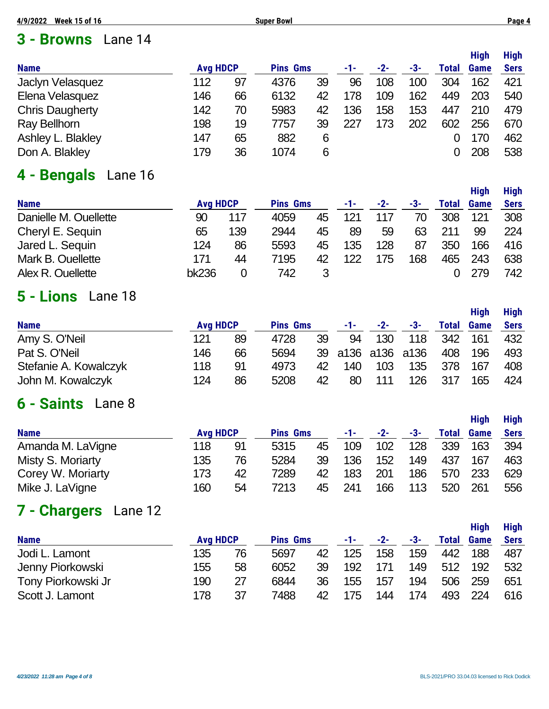#### **3 - Browns** Lane 14

|                        |                 |    |                 |    |     |     |     |       | <b>High</b> | <b>High</b> |
|------------------------|-----------------|----|-----------------|----|-----|-----|-----|-------|-------------|-------------|
| <b>Name</b>            | <b>Avg HDCP</b> |    | <b>Pins Gms</b> |    | -1- | -2- | -3- | Total | <b>Game</b> | <b>Sers</b> |
| Jaclyn Velasquez       | 112             | 97 | 4376            | 39 | 96  | 108 | 100 | 304   | 162         | 421         |
| Elena Velasquez        | 146             | 66 | 6132            | 42 | 178 | 109 | 162 | 449   | 203         | 540         |
| <b>Chris Daugherty</b> | 142             | 70 | 5983            | 42 | 136 | 158 | 153 | 447   | 210         | 479         |
| Ray Bellhorn           | 198             | 19 | 7757            | 39 | 227 | 173 | 202 | 602   | 256         | 670         |
| Ashley L. Blakley      | 147             | 65 | 882             | 6  |     |     |     |       | 170         | 462         |
| Don A. Blakley         | 179             | 36 | 1074            | 6  |     |     |     |       | 208         | 538         |

## **4 - Bengals** Lane 16

|       |     |                 |    | -1-             | $-2-$ | -3- | <b>Total</b> | <b>Game</b> | <b>Sers</b> |
|-------|-----|-----------------|----|-----------------|-------|-----|--------------|-------------|-------------|
| 90    | 117 | 4059            | 45 | 121             | 117   | 70  | 308          | 121         | 308         |
| 65    | 139 | 2944            | 45 | 89              | 59    | 63  | 211          | 99          | 224         |
| 124   | 86  | 5593            | 45 | 135             | 128   | 87  | 350          | 166         | 416         |
| 171   | 44  | 7195            | 42 | 122             | 175   | 168 | 465          | 243         | 638         |
| bk236 |     | 742             |    |                 |       |     |              | 279         | 742         |
|       |     | <b>Avg HDCP</b> |    | <b>Pins Gms</b> |       |     |              |             |             |

#### **5 - Lions** Lane 18

|                       |                 |    |                 |    |     |                   |     |              | Hiah        | <b>High</b> |
|-----------------------|-----------------|----|-----------------|----|-----|-------------------|-----|--------------|-------------|-------------|
| <b>Name</b>           | <b>Avg HDCP</b> |    | <b>Pins Gms</b> |    | -1- | $-2-$             | -3- | <b>Total</b> | <b>Game</b> | <b>Sers</b> |
| Amy S. O'Neil         | 121             | 89 | 4728            | 39 | 94  | 130               | 118 | 342          | 161         | 432         |
| Pat S. O'Neil         | 146             | 66 | 5694            |    |     | 39 a136 a136 a136 |     | 408          | 196         | 493         |
| Stefanie A. Kowalczyk | 118             | 91 | 4973            | 42 | 140 | 103               | 135 | 378          | 167         | 408         |
| John M. Kowalczyk     | 124             | 86 | 5208            | 42 | 80  | 111               | 126 | 317          | 165         | 424         |

### **6 - Saints** Lane 8

|                   |     |                 |                 |    |     |       |     |              | <b>High</b> | <b>High</b> |
|-------------------|-----|-----------------|-----------------|----|-----|-------|-----|--------------|-------------|-------------|
| <b>Name</b>       |     | <b>Avg HDCP</b> | <b>Pins Gms</b> |    | -1- | $-2-$ | -3- | <b>Total</b> | <b>Game</b> | <b>Sers</b> |
| Amanda M. LaVigne | 118 | 91              | 5315            | 45 | 109 | 102   | 128 | 339          | 163         | 394         |
| Misty S. Moriarty | 135 | 76              | 5284            | 39 | 136 | 152   | 149 | 437          | 167         | 463         |
| Corey W. Moriarty | 173 | 42              | 7289            | 42 | 183 | 201   | 186 | 570          | 233         | 629         |
| Mike J. LaVigne   | 160 | 54              | 7213            | 45 | 241 | 166   | 113 | 520          | 261         | 556         |

# **7 - Chargers** Lane 12

|                    |                 |    |                 |    |     |       |     |              | Hiah        | <b>High</b> |
|--------------------|-----------------|----|-----------------|----|-----|-------|-----|--------------|-------------|-------------|
| <b>Name</b>        | <b>Avg HDCP</b> |    | <b>Pins Gms</b> |    | -1- | $-2-$ | -3- | <b>Total</b> | <b>Game</b> | <b>Sers</b> |
| Jodi L. Lamont     | 135             | 76 | 5697            | 42 | 125 | 158   | 159 | 442          | 188         | 487         |
| Jenny Piorkowski   | 155             | 58 | 6052            | 39 | 192 | 171   | 149 | 512          | 192         | 532         |
| Tony Piorkowski Jr | 190             | 27 | 6844            | 36 | 155 | 157   | 194 | 506          | 259         | 651         |
| Scott J. Lamont    | 178             | 37 | 7488            | 42 | 175 | 144   | 174 | 493          | 224         | 616         |

**High High**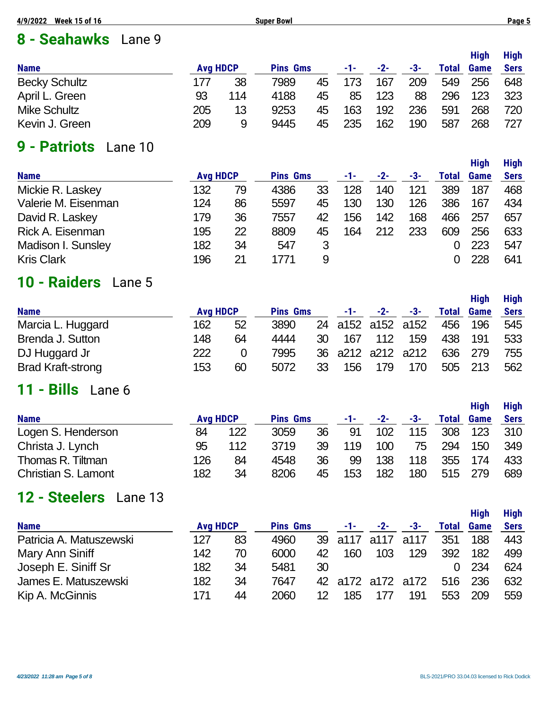## **8 - Seahawks** Lane 9

| <b>Name</b>          | <b>Avg HDCP</b> |     | <b>Pins Gms</b> |    | -1- | $-2-$ | -3- | <b>Total</b> | <b>High</b><br><b>Game</b> | <b>High</b><br><b>Sers</b> |
|----------------------|-----------------|-----|-----------------|----|-----|-------|-----|--------------|----------------------------|----------------------------|
| <b>Becky Schultz</b> | 177             | 38  | 7989            | 45 | 173 | 167   | 209 | 549          | 256                        | 648                        |
| April L. Green       | 93              | 114 | 4188            | 45 | 85  | 123   | 88  | 296          | 123                        | 323                        |
| <b>Mike Schultz</b>  | 205             | 13  | 9253            | 45 | 163 | 192   | 236 | 591          | 268                        | 720                        |
| Kevin J. Green       | 209             | 9   | 9445            | 45 | 235 | 162   | 190 | 587          | 268                        | 727                        |

## **9 - Patriots** Lane 10

| <b>Name</b>         | <b>Avg HDCP</b> |    | <b>Pins Gms</b> |    | -1- | $-2-$ | -3- | Total | Game | <b>Sers</b> |
|---------------------|-----------------|----|-----------------|----|-----|-------|-----|-------|------|-------------|
| Mickie R. Laskey    | 132             | 79 | 4386            | 33 | 128 | 140   | 121 | 389   | 187  | 468         |
| Valerie M. Eisenman | 124             | 86 | 5597            | 45 | 130 | 130   | 126 | 386   | 167  | 434         |
| David R. Laskey     | 179             | 36 | 7557            | 42 | 156 | 142   | 168 | 466   | 257  | 657         |
| Rick A. Eisenman    | 195             | 22 | 8809            | 45 | 164 | 212   | 233 | 609   | 256  | 633         |
| Madison I. Sunsley  | 182             | 34 | 547             | 3  |     |       |     |       | 223  | 547         |
| <b>Kris Clark</b>   | 196             | 21 | 1771            | 9  |     |       |     |       | 228  | 641         |
|                     |                 |    |                 |    |     |       |     |       |      |             |

## **10 - Raiders** Lane 5

|                          |                 |    |                 |    |       |                   |     |              | <b>High</b> | High        |
|--------------------------|-----------------|----|-----------------|----|-------|-------------------|-----|--------------|-------------|-------------|
| <b>Name</b>              | <b>Avg HDCP</b> |    | <b>Pins Gms</b> |    | -1- - | $-2-$             | -3- | <b>Total</b> | <b>Game</b> | <b>Sers</b> |
| Marcia L. Huggard        | 162             | 52 | 3890            |    |       | 24 a152 a152 a152 |     | 456          | 196         | 545         |
| Brenda J. Sutton         | 148             | 64 | 4444            | 30 | 167   | 112               | 159 | 438          | 191         | 533         |
| DJ Huggard Jr            | 222             |    | 7995            |    |       | 36 a212 a212 a212 |     | 636          | 279         | 755         |
| <b>Brad Kraft-strong</b> | 153             | 60 | 5072            | 33 | 156   | 179               | 170 | 505          | 213         | 562         |

#### **11 - Bills** Lane 6

|                     |                 |     |                 |    |     |       |     |       | <b>High</b> | <b>High</b> |
|---------------------|-----------------|-----|-----------------|----|-----|-------|-----|-------|-------------|-------------|
| <b>Name</b>         | <b>Avg HDCP</b> |     | <b>Pins Gms</b> |    | -1- | $-2-$ | -3- | Total | <b>Game</b> | <b>Sers</b> |
| Logen S. Henderson  | 84              | 122 | 3059            | 36 | 91  | 102   | 115 | 308   | 123         | 310         |
| Christa J. Lynch    | 95              | 112 | 3719            | 39 | 119 | 100   | 75  | 294   | 150         | 349         |
| Thomas R. Tiltman   | 126             | 84  | 4548            | 36 | 99  | 138   | 118 | 355   | 174         | 433         |
| Christian S. Lamont | 182             | 34  | 8206            | 45 | 153 | 182   | 180 | 515   | 279         | 689         |

#### **12 - Steelers** Lane 13

| <b>Name</b>             | <b>Avg HDCP</b> |    | <b>Pins Gms</b> |    | -1-          | $-2-$ | -3-               | Total | <b>High</b><br>Game | <b>High</b><br><b>Sers</b> |
|-------------------------|-----------------|----|-----------------|----|--------------|-------|-------------------|-------|---------------------|----------------------------|
| Patricia A. Matuszewski | 127             | 83 | 4960            |    | 39 a117 a117 |       | a117              | 351   | 188                 | 443                        |
| Mary Ann Siniff         | 142             | 70 | 6000            | 42 | 160          | 103   | 129               | 392   | 182                 | 499                        |
| Joseph E. Siniff Sr     | 182             | 34 | 5481            | 30 |              |       |                   |       | -234                | 624                        |
| James E. Matuszewski    | 182             | 34 | 7647            |    |              |       | 42 a172 a172 a172 | 516   | -236                | 632                        |
| Kip A. McGinnis         | 171             | 44 | 2060            | 12 | 185          | 177   | 191               | 553   | 209                 | 559                        |

**High High**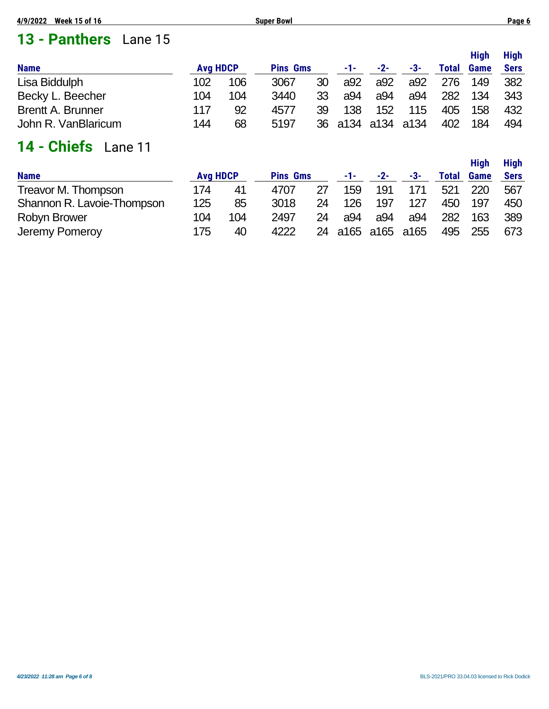# **13 - Panthers** Lane 15

|                          |                 |     |                 |    |     |                   |     |              | <b>High</b> | <b>High</b> |
|--------------------------|-----------------|-----|-----------------|----|-----|-------------------|-----|--------------|-------------|-------------|
| <b>Name</b>              | <b>Avg HDCP</b> |     | <b>Pins Gms</b> |    | -1- | $-2-$             | -3- | <b>Total</b> | <b>Game</b> | <b>Sers</b> |
| Lisa Biddulph            | 102             | 106 | 3067            | 30 | a92 | a92               | a92 | 276          | 149         | 382         |
| Becky L. Beecher         | 104             | 104 | 3440            | 33 | a94 | a94               | a94 | 282          | 134         | 343         |
| <b>Brentt A. Brunner</b> | 117             | 92  | 4577            | 39 | 138 | 152               | 115 | 405          | 158         | 432         |
| John R. VanBlaricum      | 144             | 68  | 5197            |    |     | 36 a134 a134 a134 |     | 402          | 184         | 494         |

# **14 - Chiefs** Lane 11

|                            |                 |     |                 |    |                |       |     |              | <b>High</b> | <b>High</b> |
|----------------------------|-----------------|-----|-----------------|----|----------------|-------|-----|--------------|-------------|-------------|
| <b>Name</b>                | <b>Avg HDCP</b> |     | <b>Pins Gms</b> |    | -1-1           | $-2-$ | -3- | <b>Total</b> | <b>Game</b> | <b>Sers</b> |
| Treavor M. Thompson        | 174             | 41  | 4707            | 27 | 159            | 191   | 171 | 521          | 220         | 567         |
| Shannon R. Lavoie-Thompson | 125             | 85  | 3018            | 24 | 126            | 197   | 127 | 450          | 197         | 450         |
| <b>Robyn Brower</b>        | 104             | 104 | 2497            | 24 | a94            | a94   | a94 | 282          | 163         | 389         |
| Jeremy Pomeroy             | 175             | 40  | 4222            | 24 | a165 a165 a165 |       |     | 495          | 255         | 673         |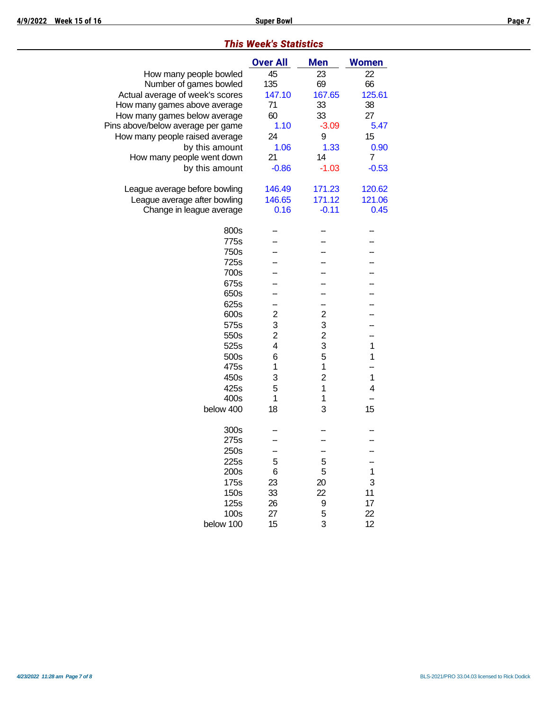|      | <u>ouper bowl</u>     |            |              |  |
|------|-----------------------|------------|--------------|--|
|      | his Week's Statistics |            |              |  |
|      | <b>Over All</b>       | <b>Men</b> | <b>Women</b> |  |
| led  | 45                    | 23         | 22           |  |
| led  | 135                   | 69         | 66           |  |
| res  | 147.10                | 167.65     | 125.61       |  |
| age  | 71                    | 33         | 38           |  |
| age  | 60                    | 33         | 27           |  |
| me   | 1.10                  | $-3.09$    | 5.47         |  |
| age  | 24                    | 9          | 15           |  |
| unt  | 1.06                  | 1.33       | 0.90         |  |
| wn   | 21                    | 14         | 7            |  |
| unt  | $-0.86$               | $-1.03$    | $-0.53$      |  |
|      |                       |            |              |  |
| ling | 146.49                | 171.23     | 120.62       |  |
| ling | 146.65                | 171.12     | 121.06       |  |
| age  | 0.16                  | $-0.11$    | 0.45         |  |
| 00s  |                       |            |              |  |
| 75s  |                       |            |              |  |
| 50s  |                       |            |              |  |
| 25s  |                       |            |              |  |
|      |                       |            |              |  |

#### *This Week's Statistics*

| How many people bowled            | 45             | 23             | 22             |
|-----------------------------------|----------------|----------------|----------------|
| Number of games bowled            | 135            | 69             | 66             |
| Actual average of week's scores   | 147.10         | 167.65         | 125.61         |
| How many games above average      | 71             | 33             | 38             |
| How many games below average      | 60             | 33             | 27             |
| Pins above/below average per game | 1.10           | $-3.09$        | 5.47           |
| How many people raised average    | 24             | 9              | 15             |
| by this amount                    | 1.06           | 1.33           | 0.90           |
| How many people went down         | 21             | 14             | $\overline{7}$ |
| by this amount                    | $-0.86$        | $-1.03$        | $-0.53$        |
| League average before bowling     | 146.49         | 171.23         | 120.62         |
| League average after bowling      | 146.65         | 171.12         | 121.06         |
| Change in league average          | 0.16           | $-0.11$        | 0.45           |
| 800s                              |                |                |                |
| 775s                              |                |                |                |
| 750s                              |                |                |                |
| 725s                              |                |                |                |
| 700s                              |                |                |                |
| 675s                              |                |                |                |
| 650s                              |                |                |                |
| 625s                              |                |                |                |
| 600s                              | $\overline{c}$ | $\overline{c}$ |                |
| 575s                              | 3              | 3              |                |
| 550s                              | $\overline{2}$ | $\overline{c}$ |                |
| 525s                              | 4              | 3              | $\mathbf{1}$   |
| 500s                              | 6              | 5              | $\mathbf{1}$   |
| 475s                              | 1              | 1              | --             |
| 450s                              | 3              | $\overline{2}$ | 1              |
| 425s                              | 5              | 1              | 4              |
| 400s                              | 1              | 1              |                |
| below 400                         | 18             | 3              | 15             |
| 300s                              |                |                |                |
| 275s                              |                |                |                |
| 250s                              |                |                |                |
| 225s                              | 5              | 5              |                |
| 200s                              | 6              | 5              | 1              |
| 175s                              | 23             | 20             | 3              |
| 150s                              | 33             | 22             | 11             |
| 125s                              | 26             | 9              | 17             |
| 100s                              | 27             | 5              | 22             |
| below 100                         | 15             | 3              | 12             |
|                                   |                |                |                |